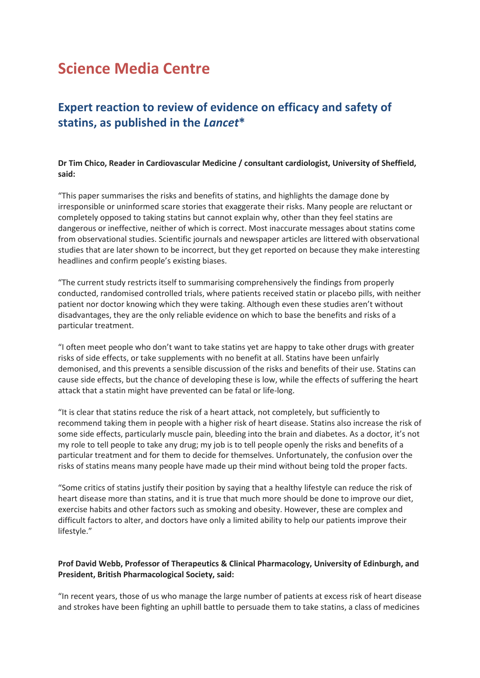# **Science Media Centre**

## **Expert reaction to review of evidence on efficacy and safety of statins, as published in the** *Lancet***\***

#### **Dr Tim Chico, Reader in Cardiovascular Medicine / consultant cardiologist, University of Sheffield, said:**

"This paper summarises the risks and benefits of statins, and highlights the damage done by irresponsible or uninformed scare stories that exaggerate their risks. Many people are reluctant or completely opposed to taking statins but cannot explain why, other than they feel statins are dangerous or ineffective, neither of which is correct. Most inaccurate messages about statins come from observational studies. Scientific journals and newspaper articles are littered with observational studies that are later shown to be incorrect, but they get reported on because they make interesting headlines and confirm people's existing biases.

"The current study restricts itself to summarising comprehensively the findings from properly conducted, randomised controlled trials, where patients received statin or placebo pills, with neither patient nor doctor knowing which they were taking. Although even these studies aren't without disadvantages, they are the only reliable evidence on which to base the benefits and risks of a particular treatment.

"I often meet people who don't want to take statins yet are happy to take other drugs with greater risks of side effects, or take supplements with no benefit at all. Statins have been unfairly demonised, and this prevents a sensible discussion of the risks and benefits of their use. Statins can cause side effects, but the chance of developing these is low, while the effects of suffering the heart attack that a statin might have prevented can be fatal or life-long.

"It is clear that statins reduce the risk of a heart attack, not completely, but sufficiently to recommend taking them in people with a higher risk of heart disease. Statins also increase the risk of some side effects, particularly muscle pain, bleeding into the brain and diabetes. As a doctor, it's not my role to tell people to take any drug; my job is to tell people openly the risks and benefits of a particular treatment and for them to decide for themselves. Unfortunately, the confusion over the risks of statins means many people have made up their mind without being told the proper facts.

"Some critics of statins justify their position by saying that a healthy lifestyle can reduce the risk of heart disease more than statins, and it is true that much more should be done to improve our diet, exercise habits and other factors such as smoking and obesity. However, these are complex and difficult factors to alter, and doctors have only a limited ability to help our patients improve their lifestyle."

#### **Prof David Webb, Professor of Therapeutics & Clinical Pharmacology, University of Edinburgh, and President, British Pharmacological Society, said:**

"In recent years, those of us who manage the large number of patients at excess risk of heart disease and strokes have been fighting an uphill battle to persuade them to take statins, a class of medicines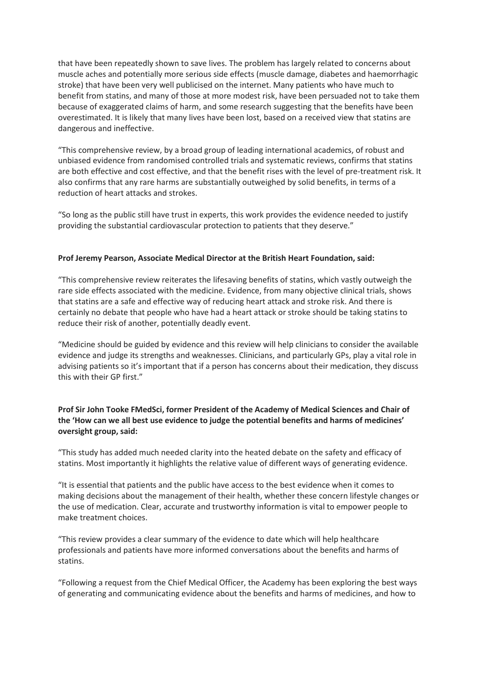that have been repeatedly shown to save lives. The problem has largely related to concerns about muscle aches and potentially more serious side effects (muscle damage, diabetes and haemorrhagic stroke) that have been very well publicised on the internet. Many patients who have much to benefit from statins, and many of those at more modest risk, have been persuaded not to take them because of exaggerated claims of harm, and some research suggesting that the benefits have been overestimated. It is likely that many lives have been lost, based on a received view that statins are dangerous and ineffective.

"This comprehensive review, by a broad group of leading international academics, of robust and unbiased evidence from randomised controlled trials and systematic reviews, confirms that statins are both effective and cost effective, and that the benefit rises with the level of pre-treatment risk. It also confirms that any rare harms are substantially outweighed by solid benefits, in terms of a reduction of heart attacks and strokes.

"So long as the public still have trust in experts, this work provides the evidence needed to justify providing the substantial cardiovascular protection to patients that they deserve."

#### **Prof Jeremy Pearson, Associate Medical Director at the British Heart Foundation, said:**

"This comprehensive review reiterates the lifesaving benefits of statins, which vastly outweigh the rare side effects associated with the medicine. Evidence, from many objective clinical trials, shows that statins are a safe and effective way of reducing heart attack and stroke risk. And there is certainly no debate that people who have had a heart attack or stroke should be taking statins to reduce their risk of another, potentially deadly event.

"Medicine should be guided by evidence and this review will help clinicians to consider the available evidence and judge its strengths and weaknesses. Clinicians, and particularly GPs, play a vital role in advising patients so it's important that if a person has concerns about their medication, they discuss this with their GP first."

### **Prof Sir John Tooke FMedSci, former President of the Academy of Medical Sciences and Chair of the 'How can we all best use evidence to judge the potential benefits and harms of medicines' oversight group, said:**

"This study has added much needed clarity into the heated debate on the safety and efficacy of statins. Most importantly it highlights the relative value of different ways of generating evidence.

"It is essential that patients and the public have access to the best evidence when it comes to making decisions about the management of their health, whether these concern lifestyle changes or the use of medication. Clear, accurate and trustworthy information is vital to empower people to make treatment choices.

"This review provides a clear summary of the evidence to date which will help healthcare professionals and patients have more informed conversations about the benefits and harms of statins.

"Following a request from the Chief Medical Officer, the Academy has been exploring the best ways of generating and communicating evidence about the benefits and harms of medicines, and how to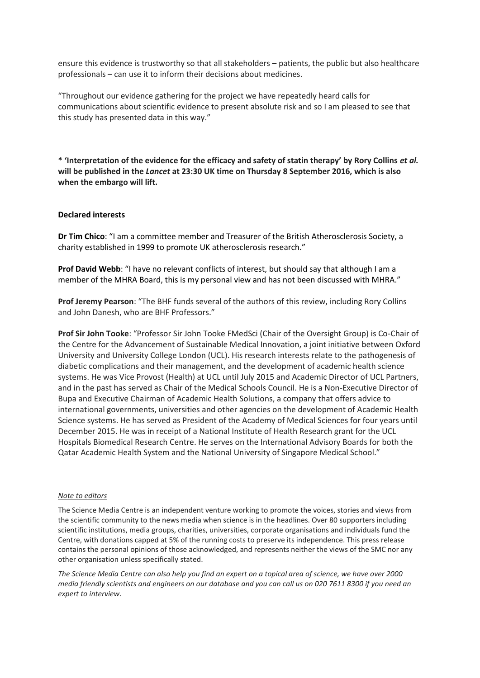ensure this evidence is trustworthy so that all stakeholders – patients, the public but also healthcare professionals – can use it to inform their decisions about medicines.

"Throughout our evidence gathering for the project we have repeatedly heard calls for communications about scientific evidence to present absolute risk and so I am pleased to see that this study has presented data in this way."

**\* 'Interpretation of the evidence for the efficacy and safety of statin therapy' by Rory Collins** *et al.* **will be published in the** *Lancet* **at 23:30 UK time on Thursday 8 September 2016, which is also when the embargo will lift.**

#### **Declared interests**

**Dr Tim Chico**: "I am a committee member and Treasurer of the British Atherosclerosis Society, a charity established in 1999 to promote UK atherosclerosis research."

**Prof David Webb**: "I have no relevant conflicts of interest, but should say that although I am a member of the MHRA Board, this is my personal view and has not been discussed with MHRA."

**Prof Jeremy Pearson**: "The BHF funds several of the authors of this review, including Rory Collins and John Danesh, who are BHF Professors."

**Prof Sir John Tooke**: "Professor Sir John Tooke FMedSci (Chair of the Oversight Group) is Co-Chair of the Centre for the Advancement of Sustainable Medical Innovation, a joint initiative between Oxford University and University College London (UCL). His research interests relate to the pathogenesis of diabetic complications and their management, and the development of academic health science systems. He was Vice Provost (Health) at UCL until July 2015 and Academic Director of UCL Partners, and in the past has served as Chair of the Medical Schools Council. He is a Non-Executive Director of Bupa and Executive Chairman of Academic Health Solutions, a company that offers advice to international governments, universities and other agencies on the development of Academic Health Science systems. He has served as President of the Academy of Medical Sciences for four years until December 2015. He was in receipt of a National Institute of Health Research grant for the UCL Hospitals Biomedical Research Centre. He serves on the International Advisory Boards for both the Qatar Academic Health System and the National University of Singapore Medical School."

#### *Note to editors*

The Science Media Centre is an independent venture working to promote the voices, stories and views from the scientific community to the news media when science is in the headlines. Over 80 supporters including scientific institutions, media groups, charities, universities, corporate organisations and individuals fund the Centre, with donations capped at 5% of the running costs to preserve its independence. This press release contains the personal opinions of those acknowledged, and represents neither the views of the SMC nor any other organisation unless specifically stated.

*The Science Media Centre can also help you find an expert on a topical area of science, we have over 2000 media friendly scientists and engineers on our database and you can call us on 020 7611 8300 if you need an expert to interview.*